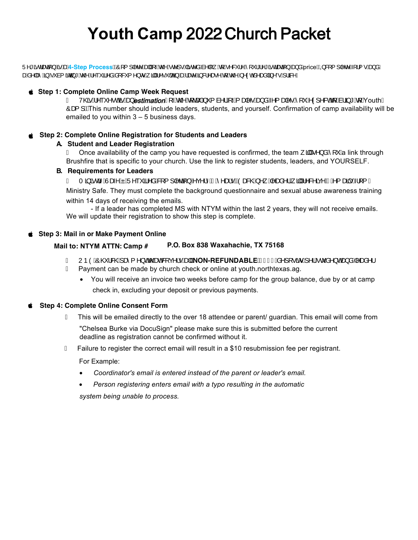## **Youth Camp** 2022 Church Packet

Ü^\*ãdæną}Á<del>sÁnd<sup>4</sup>-StepProcessb2</del>Ő[{]|^c^Áne||Á,—Án@Ánc^]•Ánãndán and lubo khán XilvA ('lán \*ãdænaa]}ÁngåÁn riceb2Ó0 {]|^c^Á{l{•Ána}åÁ zaś&^|zêÁ§vÁ\*à{ãncā,\*Áx@^Á^~~ã^åÁ&[&~{^}o•Á,ā|lÁ∧•~|cÁ§√áaakane^Á§&|^zon^Áq/Áx@^Á∧¢cók&^zanâ|ā;^'•Á,¦a3k^È

#### **Step 1: Complete Online Camp Week Request**

Ë V@shÁ^``^•oG<del>sé Ásol Áustimation Ály</del>@Ant cæshÁ`{ à^¦Ár Ál æh^•Ásol åÁn^{ æh^•Álí `Árol ^&oAt Ás¦ā\*Át ÁrouthÁ Ôat 1 Et his number should include leaders, students, and yourself. Confirmation of camp availability will be emailed to you within 3 – 5 business days.

#### **Step 2: Complete Online Registration for Students and Leaders**

#### **A. Student and Leader Registration**

 $\ddot{E}$  Once availability of the camp you have requested is confirmed, the team  $\ddot{a}$   $\ddot{A}$   $\dot{A}$   $\ddot{A}$  link through Brushfire that is specific to your church. Use the link to register students, leaders, and YOURSELF.

#### **B. Requirements for Leaders**

Ë Tājād^ÁJæ^ÁÁJ^``ā^åÁSq{||^coā}Ár⊙^¦^ÁGÁ^æl∙ÈĂOæ&@Á^ Á^æå^¦Á,ājlÁ^&^ãc^ÁGÁ^{æal∙Á||{Á Ministry Safe. They must complete the background questionnaire and sexual abuse awareness training within 14 days of receiving the emails.

- If a leader has completed MS with NTYM within the last 2 years, they will not receive emails. We will update their registration to show this step is complete.

#### **Step 3: Mail in or Make Payment Online**

#### **Mail to: NTYM ATTN: Camp # P.O. Box 838 Waxahachie, TX 75168**

- <u>Ë UÞÒÁÔ@¦&@Á}æ{^}oÁ@aeó&</u>jc^¦•ÁæHÁNON-REFUNDABLEÁÄF<del>∈€</del>Áã^][•ãorÁl^¦Ác å^}oÁæ}åÁ^æå^¦.
- $\ddot{E}$  Payment can be made by church check or online at youth.northtexas.ag.
	- You will receive an invoice two weeks before camp for the group balance, due by or at camp check in, excluding your deposit or previous payments.

#### **Step 4: Complete Online Consent Form**

- $\ddot{E}$  This will be emailed directly to the over 18 attendee or parent/ guardian. This email will come from "Chelsea Burke via DocuSign" please make sure this is submitted before the current deadline as registration cannot be confirmed without it.
- $\ddot{E}$  Failure to register the correct email will result in a \$10 resubmission fee per registrant.

For Example:

- Coordinator's email is entered instead of the parent or leader's email.
- *Person registering enters email with a typo resulting in the automatic system being unable to process.*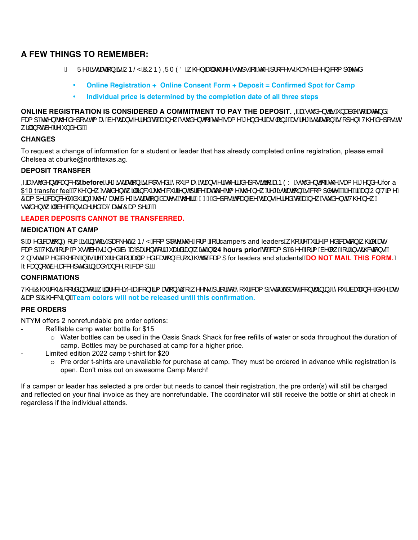#### **A FEW THINGS TO REMEMBER:**

- Ë Ü^\*ãdænã}ÁnsÁUÞŠŸÁÔUÞØ0ÜTÒÖÁ @}ÁnsHÁn@^^Árc^]∙Ár-Án@Á¦¦&^•∙Á@anc^Ás^^}Ási{l|^c^å
	- **Online Registration + Online Consent Form + Deposit = Confirmed Spot for Camp**
	- **Individual price is determined by the completion date of all three steps**

 $\mathbf{ONLINE}\ \mathbf{REGISTRATION}\ \mathbf{IS}\ \mathbf{CONSIDERED}\ \mathbf{A}\ \mathbf{COMMITMENT}\ \mathbf{TO}\ \mathbf{PAY}\ \mathbf{THE}\ \mathbf{DEPOSIT}\ \mathbf{QW}^T\ \mathbf{Gd}^T\ \mathbf{A}^T\ \mathbf{Cd}^T\ \mathbf{Cd}^T\ \mathbf{Cd}^T\ \mathbf{Cd}^T\ \mathbf{Cd}^T\ \mathbf{Cd}^T\ \mathbf{Cd}^T\ \mathbf{Cd}^T\ \mathbf{Cd}^T\ \mathbf{Cd}^T\ \mathbf{Cd}^T\ \mathbf{Cd}^T$ 8eaf]Béo@}Áo@Áa^][•ãnÁ, æôÁa^Ádæ)•△¦¦^åÁdjÁanÁ∧, Á cǐå^}oÁ√Áo@Áaa{^Á^}å^¦ÁaneÁN}\*ÁaneÁ^\*ãdænā}ÁanÁ1^}ÈV@Áa^][•ãnÁ ,ãlÁ,[cÁà^Á^~`}å^åÈÁÁ

#### **CHANGES**

To request a change of information for a student or leader that has already completed online registration, please email Chelsea at cburke@northtexas.ag.

#### **DEPOSIT TRANSFER**

GA<del>baÁ</del>čå^}oASea}&^|∙ÁbeforeÁ^\*ãdænaî}ÁsáKall•^åÉÁlĭÁzai•∡^¦Ác@3ákå^ll∙ãókalÁæn-ÒYÁc å^}oÁ-Ác@Ázaal^Á^}å^¦for a \$10transferfeeEAV@A^,Acઁå^}cAj4D§&`lAo@A&`ll^}cA}la3k^AaaAn@Aaą̃^Ao@A^,A^\*ãclæaą̃}AēA&[{]|^c^EAG2eEaSAaa}AU}A/ą̃^/ Oæ{]^¦A&æ}&^|●A䡦ã]\*Ac@ASæa^AU^\*ãdæaã{}Aåæa^●Bac@ãAAF€€Aå^][●ãnA&æ}Aà^Adæ}→^¦I^åAq{Aæa}^¸A čå^}dEV@A}^¸/ •čà^}cÁ, a]lÁa∧Á& [}•aã^¦^åÁækŠæz^ÁÔæ{ ]^¦ÈĎÁÁ

#### **LEADER DEPOSITS CANNOT BE TRANSFERRED.**

#### **MEDICATION AT CAMP**

OEÁT^åā&æaā[}Á¤Zi{ÁeÁ§Áo@áÁjæ&\^dÁUÞŠŸÁ&[{]|^c^Áo@Á{¦{Á{¦Ácampers and leadersÁ, @[Á^˘ˇã^Á{^åā&æaã[}Á, @\$|^ÁæeÁ &æ(] BÁ/@ĕÁ(¦{Á(ັ•œĥ^Áã}^åÁnî Áæn∫æh}oÁ¦Áັæåãæ}Á,ão@}Á24 hours priorÁ{Á&æ(] BÁÙ^^Ái¦{Án∘l| Ái¦Áã•d´&aã}•BÁ 2QVLWHPHGFKHFNLQLVUHTXLUHGIRUDOOPHGLFDWLRQEURXJKWWRFDPS for leaders and students**DO NOT MAIL THIS FORM.** It 8a) {  $\vec{o}$ à^Áa&&^} c^åÁ§ Áaaàca}&^Á, Á&a§ } ÈÁÁ

#### **CONFIRMATIONS**

V@AÔ@'|&@AÔ[[¦åã}æq[¦Á¸ã||Á∧&^ãq^AæA&|}~ã{æqã|}Áq;[Á¸^^\•Á¦¦ã¦¦Áq{Á[ˇ¦Á&æq{]Á∙cæ∃o4‱æq^&k3}}cæã}ã\*Á[ˇ¦Ásæþæ}&^Ásˇ^ÁæqÁ  $\hat{O}$ at 1  $\hat{O}$ @& $\hat{E}$  **Example 2 and** *colors* will not be released until this confirmation.

#### **PRE ORDERS**

NTYM offers 2 nonrefundable pre order options:

- Refillable camp water bottle for \$15
	- o Water bottles can be used in the Oasis Snack Shack for free refills of water or soda throughout the duration of camp. Bottles may be purchased at camp for a higher price.
	- Limited edition 2022 camp t-shirt for \$20
		- $\circ$  Pre order t-shirts are unavailable for purchase at camp. They must be ordered in advance while registration is open. Don't miss out on awesome Camp Merch!

If a camper or leader has selected a pre order but needs to cancel their registration, the pre order(s) will still be charged and reflected on your final invoice as they are nonrefundable. The coordinator will still receive the bottle or shirt at check in regardless if the individual attends.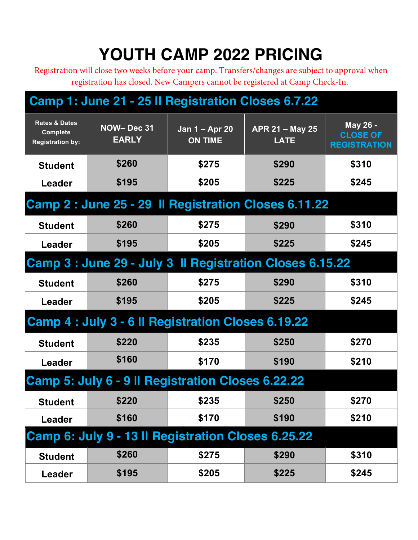# **YOUTH CAMP 2022 PRICING**

Registration will close two weeks before your camp. Transfers/changes are subject to approval when registration has closed. New Campers cannot be registered at Camp Check-In.

### **Camp 1: June 21 - 25 ll Registration Closes 6.7.22**

| <b>Rates &amp; Dates</b><br><b>Complete</b><br><b>Registration by:</b> | NOW-Dec 31<br><b>EARLY</b>                         | Jan 1 – Apr 20<br><b>ON TIME</b> | APR 21 - May 25<br><b>LATE</b>                           | May 26 -<br><b>CLOSE OF</b><br><b>REGISTRATION</b> |  |  |  |
|------------------------------------------------------------------------|----------------------------------------------------|----------------------------------|----------------------------------------------------------|----------------------------------------------------|--|--|--|
| <b>Student</b>                                                         | \$260                                              | \$275                            | \$290                                                    | \$310                                              |  |  |  |
| Leader                                                                 | \$195                                              | \$205                            | \$225                                                    | \$245                                              |  |  |  |
|                                                                        |                                                    |                                  | Camp 2: June 25 - 29 Il Registration Closes 6.11.22      |                                                    |  |  |  |
| <b>Student</b>                                                         | \$260                                              | \$275                            | \$290                                                    | \$310                                              |  |  |  |
| Leader                                                                 | \$195                                              | \$205                            | \$225                                                    | \$245                                              |  |  |  |
|                                                                        |                                                    |                                  | Camp 3 : June 29 - July 3 Il Registration Closes 6.15.22 |                                                    |  |  |  |
| <b>Student</b>                                                         | \$260                                              | \$275                            | \$290                                                    | \$310                                              |  |  |  |
| Leader                                                                 | \$195                                              | \$205                            | \$225                                                    | \$245                                              |  |  |  |
|                                                                        | Camp 4 : July 3 - 6 II Registration Closes 6.19.22 |                                  |                                                          |                                                    |  |  |  |
| <b>Student</b>                                                         | \$220                                              | \$235                            | \$250                                                    | \$270                                              |  |  |  |
| Leader                                                                 | \$160                                              | \$170                            | \$190                                                    | \$210                                              |  |  |  |
| Camp 5: July 6 - 9 II Registration Closes 6.22.22                      |                                                    |                                  |                                                          |                                                    |  |  |  |
| <b>Student</b>                                                         | \$220                                              | \$235                            | \$250                                                    | \$270                                              |  |  |  |
| Leader                                                                 | \$160                                              | \$170                            | \$190                                                    | \$210                                              |  |  |  |
|                                                                        | Camp 6: July 9 - 13 Il Registration Closes 6.25.22 |                                  |                                                          |                                                    |  |  |  |
| <b>Student</b>                                                         | \$260                                              | \$275                            | \$290                                                    | \$310                                              |  |  |  |
| <b>Leader</b>                                                          | \$195                                              | \$205                            | \$225                                                    | \$245                                              |  |  |  |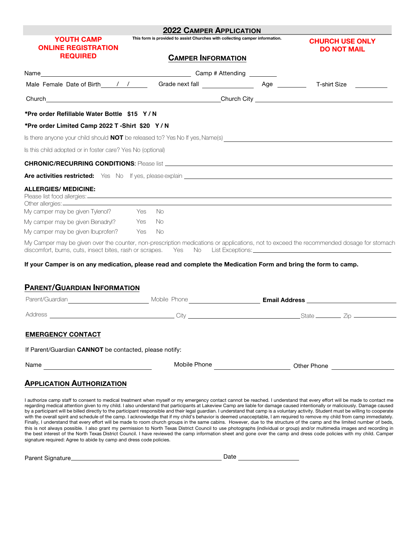| <b>YOUTH CAMP</b><br><b>ONLINE REGISTRATION</b>                                                               | 2022 Camper Application<br>This form is provided to assist Churches with collecting camper information.                                                                                                                                                                                                                                                                   | <b>CHURCH USE ONLY</b><br><b>DO NOT MAIL</b> |                                     |  |
|---------------------------------------------------------------------------------------------------------------|---------------------------------------------------------------------------------------------------------------------------------------------------------------------------------------------------------------------------------------------------------------------------------------------------------------------------------------------------------------------------|----------------------------------------------|-------------------------------------|--|
| <b>REQUIRED</b>                                                                                               | <b>CAMPER INFORMATION</b>                                                                                                                                                                                                                                                                                                                                                 |                                              |                                     |  |
| Name                                                                                                          |                                                                                                                                                                                                                                                                                                                                                                           | Camp # Attending ________                    |                                     |  |
|                                                                                                               |                                                                                                                                                                                                                                                                                                                                                                           |                                              | T-shirt Size <u>_______________</u> |  |
|                                                                                                               | Church Church Church Communication of the Church City Church City Church City Church City Church City Church City Church City Church City Church City Church City Church City Church City Church City Church City Church City                                                                                                                                             |                                              |                                     |  |
| *Pre order Refillable Water Bottle \$15 Y/N                                                                   |                                                                                                                                                                                                                                                                                                                                                                           |                                              |                                     |  |
| *Pre order Limited Camp 2022 T -Shirt \$20 Y/N                                                                |                                                                                                                                                                                                                                                                                                                                                                           |                                              |                                     |  |
|                                                                                                               | Is there anyone your child should NOT be released to? Yes No If yes, Name(s) Manneler Commence anyone your child should NOT be released to? Yes No If yes, Name(s)                                                                                                                                                                                                        |                                              |                                     |  |
| Is this child adopted or in foster care? Yes No (optional)                                                    |                                                                                                                                                                                                                                                                                                                                                                           |                                              |                                     |  |
|                                                                                                               |                                                                                                                                                                                                                                                                                                                                                                           |                                              |                                     |  |
|                                                                                                               | Are activities restricted: Yes No If yes, please explain <b>explain the contract of the contract of the contract of the contract of the contract of the contract of the contract of the contract of the contract of the contract</b>                                                                                                                                      |                                              |                                     |  |
| <b>ALLERGIES/ MEDICINE:</b>                                                                                   |                                                                                                                                                                                                                                                                                                                                                                           |                                              |                                     |  |
| My camper may be given Tylenol? Yes No                                                                        |                                                                                                                                                                                                                                                                                                                                                                           |                                              |                                     |  |
| My camper may be given Benadryl? Yes                                                                          | - No                                                                                                                                                                                                                                                                                                                                                                      |                                              |                                     |  |
| My camper may be given Ibuprofen? Yes                                                                         | – No                                                                                                                                                                                                                                                                                                                                                                      |                                              |                                     |  |
|                                                                                                               | My Camper may be given over the counter, non-prescription medications or applications, not to exceed the recommended dosage for stomach<br>discomfort, burns, cuts, insect bites, rash or scrapes. Yes No List Exceptions: Camera Communication of the Unit of Australian Communication of the Mondon Communication of the Unit of Australian Communication of the Unit o |                                              |                                     |  |
| If your Camper is on any medication, please read and complete the Medication Form and bring the form to camp. |                                                                                                                                                                                                                                                                                                                                                                           |                                              |                                     |  |

#### **PARENT/GUARDIAN INFORMATION**

| Parent/Guardian                                        | Mobile Phone <b>Mobile</b> Phone |                               |
|--------------------------------------------------------|----------------------------------|-------------------------------|
| Address                                                |                                  |                               |
| <b>EMERGENCY CONTACT</b>                               |                                  |                               |
| If Parent/Guardian CANNOT be contacted, please notify: |                                  |                               |
| Name                                                   | Mobile Phone                     | Other Phone <b>Department</b> |

#### **APPLICATION AUTHORIZATION**

I authorize camp staff to consent to medical treatment when myself or my emergency contact cannot be reached. I understand that every effort will be made to contact me regarding medical attention given to my child. I also understand that participants at Lakeview Camp are liable for damage caused intentionally or maliciously. Damage caused<br>by a participant will be billed directly to the p with the overall spirit and schedule of the camp. I acknowledge that if my child's behavior is deemed unacceptable, I am required to remove my child from camp immediately. Finally, I understand that every effort will be made to room church groups in the same cabins. However, due to the structure of the camp and the limited number of beds, this is not always possible. I also grant my permission to North Texas District Council to use photographs (individual or group) and/or multimedia images and recording in the best interest of the North Texas District Council. I have reviewed the camp information sheet and gone over the camp and dress code policies with my child. Camper signature required: Agree to abide by camp and dress code policies.

| Parent Signature | Date |  |
|------------------|------|--|
|                  |      |  |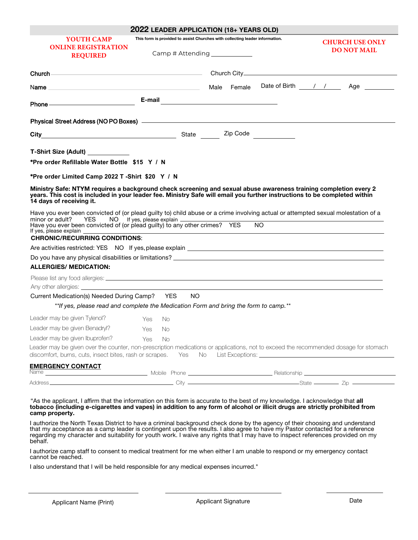|                                                                                                                                                                                                                                                                                                                                                                                                                                                                                                                                           |                                                                                                                | 2022 LEADER APPLICATION (18+ YEARS OLD)                                                                       |                         |
|-------------------------------------------------------------------------------------------------------------------------------------------------------------------------------------------------------------------------------------------------------------------------------------------------------------------------------------------------------------------------------------------------------------------------------------------------------------------------------------------------------------------------------------------|----------------------------------------------------------------------------------------------------------------|---------------------------------------------------------------------------------------------------------------|-------------------------|
| YOUTH CAMP<br><b>ONLINE REGISTRATION</b><br><b>REQUIRED</b>                                                                                                                                                                                                                                                                                                                                                                                                                                                                               | This form is provided to assist Churches with collecting leader information.<br>Camp # Attending _____________ | <b>CHURCH USE ONLY</b><br><b>DO NOT MAIL</b>                                                                  |                         |
|                                                                                                                                                                                                                                                                                                                                                                                                                                                                                                                                           |                                                                                                                |                                                                                                               |                         |
|                                                                                                                                                                                                                                                                                                                                                                                                                                                                                                                                           |                                                                                                                | Male Female                                                                                                   | Date of Birth / / / Age |
| Phone <b>Contract Contract Contract Contract Contract Contract Contract Contract Contract Contract Contract Contract Contract Contract Contract Contract Contract Contract Contract Contract Contract Contract Contract Contract</b>                                                                                                                                                                                                                                                                                                      |                                                                                                                | E-mail 2008 2010 2021 2022 2023 2024 2022 2022 2023 2024 2022 2023 2024 2022 2023 2024 2022 2023 2024 2025 20 |                         |
| Physical Street Address (NO PO Boxes) - And Annual Address (NO PO Boxes) - And Annual Address (NO PO Boxes) -                                                                                                                                                                                                                                                                                                                                                                                                                             |                                                                                                                |                                                                                                               |                         |
| City City Code City Content City Code City Code City Code City Code City Code City Code City Code City Code City                                                                                                                                                                                                                                                                                                                                                                                                                          |                                                                                                                |                                                                                                               |                         |
| T-Shirt Size (Adult) ____________                                                                                                                                                                                                                                                                                                                                                                                                                                                                                                         |                                                                                                                |                                                                                                               |                         |
| *Pre order Refillable Water Bottle \$15 Y / N                                                                                                                                                                                                                                                                                                                                                                                                                                                                                             |                                                                                                                |                                                                                                               |                         |
| *Pre order Limited Camp 2022 T -Shirt \$20 Y / N                                                                                                                                                                                                                                                                                                                                                                                                                                                                                          |                                                                                                                |                                                                                                               |                         |
| Ministry Safe: NTYM requires a background check screening and sexual abuse awareness training completion every 2<br>years. This cost is included in your leader fee. Ministry Safe will email you further instructions to be completed within<br>14 days of receiving it.<br>Have you ever been convicted of (or plead guilty to) child abuse or a crime involving actual or attempted sexual molestation of a<br>minor or adult?<br>Have you ever been convicted of (or plead guilty) to any other crimes? YES<br>If yes, please explain | YES NO If yes, please explain                                                                                  | <b>NO</b>                                                                                                     |                         |
| <b>CHRONIC/RECURRING CONDITIONS:</b>                                                                                                                                                                                                                                                                                                                                                                                                                                                                                                      |                                                                                                                |                                                                                                               |                         |
|                                                                                                                                                                                                                                                                                                                                                                                                                                                                                                                                           |                                                                                                                |                                                                                                               |                         |
| Do you have any physical disabilities or limitations? Letter and the state of the state of the state of the state of the state of the state of the state of the state of the state of the state of the state of the state of t                                                                                                                                                                                                                                                                                                            |                                                                                                                |                                                                                                               |                         |
| <b>ALLERGIES/ MEDICATION:</b>                                                                                                                                                                                                                                                                                                                                                                                                                                                                                                             |                                                                                                                |                                                                                                               |                         |
|                                                                                                                                                                                                                                                                                                                                                                                                                                                                                                                                           |                                                                                                                |                                                                                                               |                         |
| Current Medication(s) Needed During Camp? YES                                                                                                                                                                                                                                                                                                                                                                                                                                                                                             | NO.                                                                                                            | **If yes, please read and complete the Medication Form and bring the form to camp.**                          |                         |
| Leader may be given Tylenol?                                                                                                                                                                                                                                                                                                                                                                                                                                                                                                              | Yes<br>No.                                                                                                     |                                                                                                               |                         |
| Leader may be given Benadryl?                                                                                                                                                                                                                                                                                                                                                                                                                                                                                                             | Yes No                                                                                                         |                                                                                                               |                         |
| Leader may be given Ibuprofen?                                                                                                                                                                                                                                                                                                                                                                                                                                                                                                            | Yes<br>No.                                                                                                     |                                                                                                               |                         |
| Leader may be given over the counter, non-prescription medications or applications, not to exceed the recommended dosage for stomach<br>discomfort, burns, cuts, insect bites, rash or scrapes.                                                                                                                                                                                                                                                                                                                                           | Yes                                                                                                            | No                                                                                                            |                         |
| <b>EMERGENCY CONTACT</b>                                                                                                                                                                                                                                                                                                                                                                                                                                                                                                                  |                                                                                                                |                                                                                                               |                         |
|                                                                                                                                                                                                                                                                                                                                                                                                                                                                                                                                           |                                                                                                                |                                                                                                               |                         |

"As the applicant, I affirm that the information on this form is accurate to the best of my knowledge. I acknowledge that **all**  tobacco (including e-cigarettes and vapes) in addition to any form of alcohol or illicit drugs are strictly prohibited from **camp property.**

I authorize the North Texas District to have a criminal background check done by the agency of their choosing and understand that my acceptance as a camp leader is contingent upon the results. I also agree to have my Pastor contacted for a reference regarding my character and suitability for youth work. I waive any rights that I may have to inspect references provided on my behalf.

I authorize camp staff to consent to medical treatment for me when either I am unable to respond or my emergency contact cannot be reached.

I also understand that I will be held responsible for any medical expenses incurred."